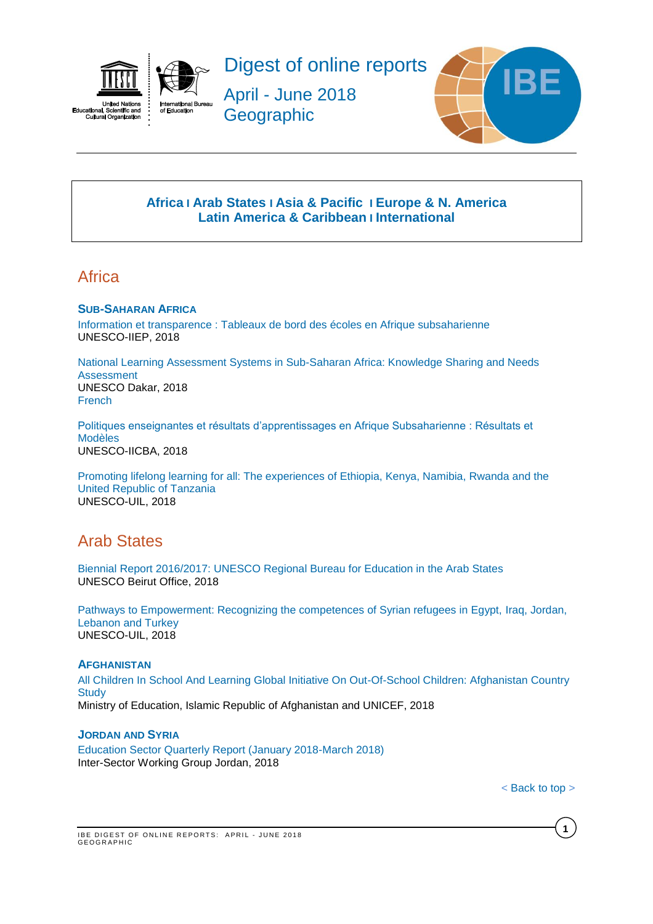



Digest of online reports

April - June 2018 **Geographic** 



## **[Africa](#page-0-0) I [Arab States](#page-0-1) I [Asia & Pacific](#page-1-0) I [Europe & N. America](#page-1-1) Latin America & Caribbean I [International](#page-2-0)**

# <span id="page-0-0"></span>**Africa**

## **SUB-SAHARAN AFRICA**

[Information et transparence : Tableaux de bord des écoles en Afrique subsaharienne](http://unesdoc.unesco.org/images/0026/002617/261740f.pdf) UNESCO-IIEP, 2018

[National Learning Assessment Systems in Sub-Saharan Africa: Knowledge Sharing and Needs](http://unesdoc.unesco.org/images/0026/002627/262722e.pdf)  [Assessment](http://unesdoc.unesco.org/images/0026/002627/262722e.pdf) UNESCO Dakar, 2018 [French](http://unesdoc.unesco.org/images/0026/002627/262722f.pdf)

[Politiques enseignantes et résultats d'apprentissages en Afrique Subsaharienne : Résultats et](http://unesdoc.unesco.org/images/0024/002465/246501f.pdf)  [Modèles](http://unesdoc.unesco.org/images/0024/002465/246501f.pdf)  UNESCO-IICBA, 2018

[Promoting lifelong learning for all: The experiences of Ethiopia, Kenya, Namibia, Rwanda and the](http://unesdoc.unesco.org/images/0026/002629/262940e.pdf)  [United Republic of Tanzania](http://unesdoc.unesco.org/images/0026/002629/262940e.pdf)  UNESCO-UIL, 2018

# <span id="page-0-1"></span>Arab States

[Biennial Report 2016/2017: UNESCO Regional Bureau for Education in the Arab States](http://unesdoc.unesco.org/images/0026/002646/264646e.pdf) UNESCO Beirut Office, 2018

[Pathways to Empowerment: Recognizing the competences of Syrian refugees in Egypt, Iraq, Jordan,](http://unesdoc.unesco.org/images/0026/002629/262918e.pdf)  [Lebanon and Turkey](http://unesdoc.unesco.org/images/0026/002629/262918e.pdf) UNESCO-UIL, 2018

## **AFGHANISTAN**

[All Children In School And Learning Global Initiative On Out-Of-School Children: Afghanistan Country](https://reliefweb.int/sites/reliefweb.int/files/resources/afg-report-oocs2018.pdf)  **[Study](https://reliefweb.int/sites/reliefweb.int/files/resources/afg-report-oocs2018.pdf)** Ministry of Education, Islamic Republic of Afghanistan and UNICEF, 2018

### **JORDAN AND SYRIA**

[Education Sector Quarterly Report \(January 2018-March 2018\)](https://reliefweb.int/sites/reliefweb.int/files/resources/63925.pdf) Inter-Sector Working Group Jordan, 2018

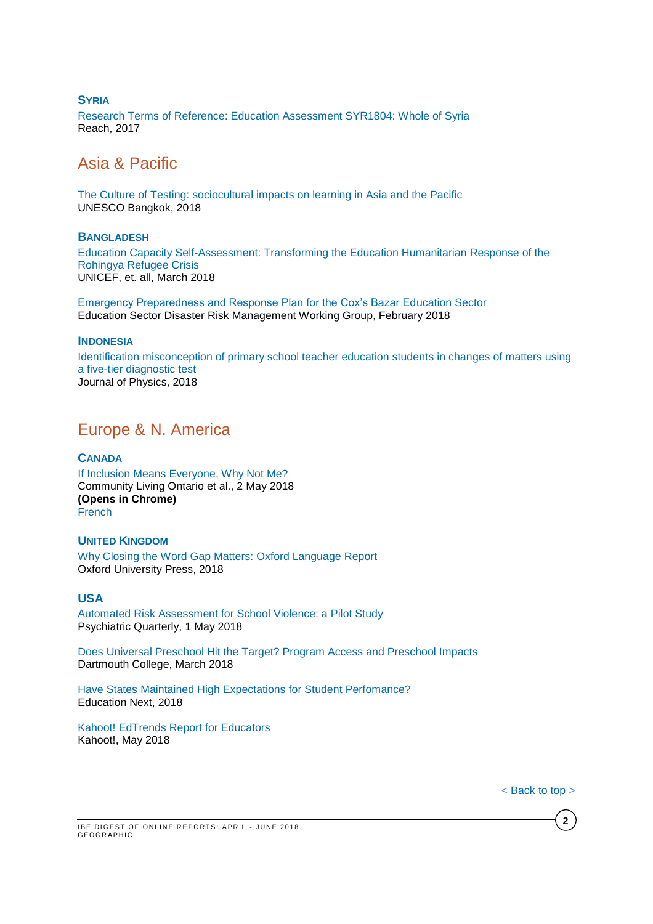### **SYRIA**

[Research Terms of Reference: Education Assessment SYR1804: Whole of Syria](https://reliefweb.int/sites/reliefweb.int/files/resources/syr_tor_wos_education_assessment.pdf) Reach, 2017

# <span id="page-1-0"></span>Asia & Pacific

[The Culture of Testing: sociocultural impacts on learning in Asia and the Pacific](http://unesdoc.unesco.org/images/0026/002619/261955e.pdf) UNESCO Bangkok, 2018

#### **BANGLADESH**

[Education Capacity Self-Assessment: Transforming the Education Humanitarian Response of the](https://reliefweb.int/sites/reliefweb.int/files/resources/education_capacity_self-assessment_cxb_education_1803.pdf)  [Rohingya Refugee Crisis](https://reliefweb.int/sites/reliefweb.int/files/resources/education_capacity_self-assessment_cxb_education_1803.pdf) UNICEF, et. all, March 2018

[Emergency Preparedness and Response Plan for the Cox's Bazar Education Sector](https://www.humanitarianresponse.info/sites/www.humanitarianresponse.info/files/documents/files/bd_emergency-preparedness-response-plan_education_sector.pdf) Education Sector Disaster Risk Management Working Group, February 2018

#### **INDONESIA**

[Identification misconception of primary school teacher education students in changes of matters using](http://iopscience.iop.org/article/10.1088/1742-6596/1013/1/012086/pdf)  [a five-tier diagnostic test](http://iopscience.iop.org/article/10.1088/1742-6596/1013/1/012086/pdf) Journal of Physics, 2018

# <span id="page-1-1"></span>Europe & N. America

### **CANADA**

[If Inclusion Means Everyone, Why Not Me?](https://communitylivingontario.ca/wp-content/uploads/2018/05/If_Inclusion_Means_Everyone_Why_Not_Me_FINAL_s.pdf) Community Living Ontario et al., 2 May 2018 **(Opens in Chrome)** [French](https://communitylivingontario.ca/wp-content/uploads/2018/05/Si_linclusion_signifie_tout_le_month_pourquoi_pas_moi_s.pdf)

## **UNITED KINGDOM**

[Why Closing the Word Gap Matters: Oxford Language Report](http://fdslive.oup.com/www.oup.com/oxed/Oxford-Language-Report.PDF?region=uk)  Oxford University Press, 2018

### **USA**

[Automated Risk Assessment for School Violence: a Pilot Study](https://link.springer.com/content/pdf/10.1007%2Fs11126-018-9581-8.pdf)  Psychiatric Quarterly, 1 May 2018

[Does Universal Preschool Hit the Target? Program Access and Preschool Impacts](http://www.dartmouth.edu/~eucascio/cascio_prek_latest.pdf) Dartmouth College, March 2018

[Have States Maintained High Expectations for Student Perfomance?](http://educationnext.org/have-states-maintained-high-expectations-student-performance-analysis-2017-proficiency-standards/) Education Next, 2018

[Kahoot! EdTrends Report for Educators](https://kahoot.com/files/2018/05/EdTrends-report-May-2018-educators.pdf) Kahoot!, May 2018

**2**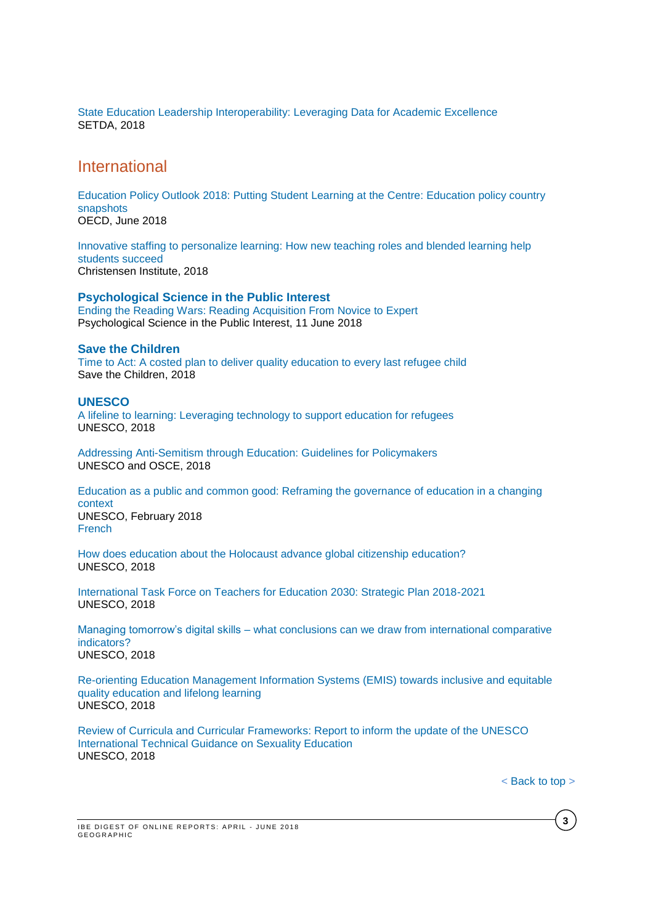[State Education Leadership Interoperability: Leveraging Data for Academic Excellence](http://www.setda.org/master/wp-content/uploads/2018/05/State-Leadership-Interoperability.pdf) SETDA, 2018

## <span id="page-2-0"></span>International

[Education Policy Outlook 2018: Putting Student Learning at the Centre: Education policy country](https://www.hm.ee/sites/default/files/epo2018_country_snapshots.pdf)  [snapshots](https://www.hm.ee/sites/default/files/epo2018_country_snapshots.pdf)  OECD, June 2018

[Innovative staffing to personalize learning: How new teaching roles and blended learning help](https://www.christenseninstitute.org/wp-content/uploads/2018/05/innovative-staffing_2018_final.pdf)  [students succeed](https://www.christenseninstitute.org/wp-content/uploads/2018/05/innovative-staffing_2018_final.pdf) Christensen Institute, 2018

**Psychological Science in the Public Interest** [Ending the Reading Wars: Reading Acquisition From Novice to Expert](http://journals.sagepub.com/stoken/default+domain/10.1177/1529100618772271-free/full)  Psychological Science in the Public Interest, 11 June 2018

#### **Save the Children**

[Time to Act: A costed plan to deliver quality education to every last refugee child](https://www.savethechildren.net/sites/default/files/770_TimetoAct_Report_v13_LR_Multi.pdf) Save the Children, 2018

#### **UNESCO**

[A lifeline to learning: Leveraging technology to support education for refugees](http://unesdoc.unesco.org/images/0026/002612/261278e.pdf) UNESCO, 2018

[Addressing Anti-Semitism through Education: Guidelines for Policymakers](http://unesdoc.unesco.org/images/0026/002637/263702e.pdf) UNESCO and OSCE, 2018

[Education as a public and common good: Reframing the governance of education in a changing](http://unesdoc.unesco.org/images/0026/002616/261614e.pdf)  [context](http://unesdoc.unesco.org/images/0026/002616/261614e.pdf) UNESCO, February 2018 **[French](http://unesdoc.unesco.org/images/0026/002616/261614f.pdf)** 

[How does education about the Holocaust advance global citizenship education?](http://unesdoc.unesco.org/images/0026/002619/261969e.pdf) UNESCO, 2018

[International Task Force on Teachers for Education 2030: Strategic Plan 2018-2021](http://unesdoc.unesco.org/images/0026/002617/261708e.pdf) UNESCO, 2018

Managing tomorrow's digital skills – [what conclusions can we draw from international comparative](http://unesdoc.unesco.org/images/0026/002618/261853e.pdf)  [indicators?](http://unesdoc.unesco.org/images/0026/002618/261853e.pdf) UNESCO, 2018

[Re-orienting Education Management Information Systems \(EMIS\) towards inclusive and equitable](http://unesdoc.unesco.org/images/0026/002619/261943e.pdf)  [quality education and lifelong learning](http://unesdoc.unesco.org/images/0026/002619/261943e.pdf) UNESCO, 2018

[Review of Curricula and Curricular Frameworks: Report to inform the update of the UNESCO](http://unesdoc.unesco.org/images/0026/002646/264650e.pdf)  [International Technical Guidance on Sexuality Education](http://unesdoc.unesco.org/images/0026/002646/264650e.pdf) UNESCO, 2018

**3**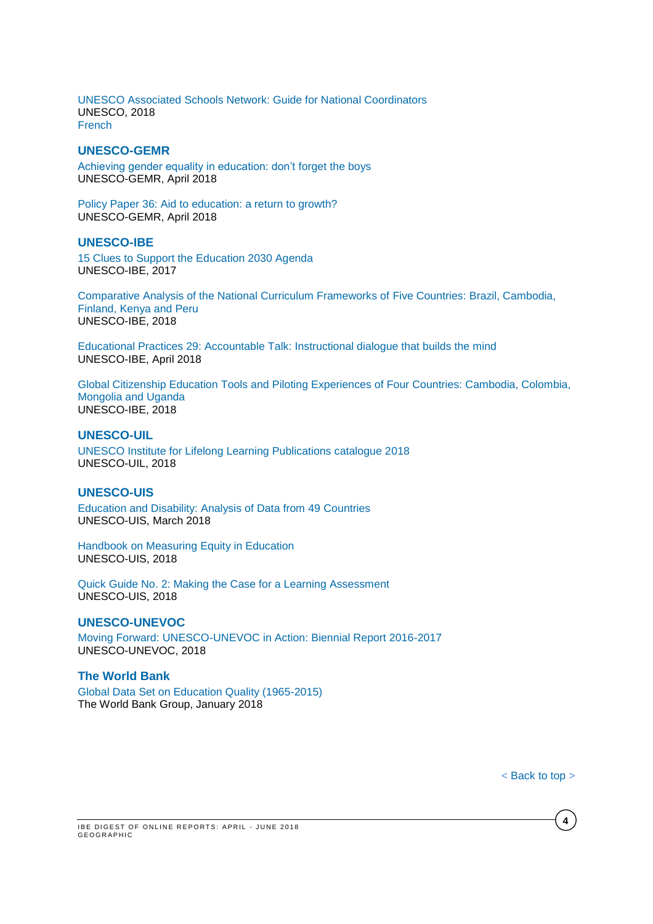[UNESCO Associated Schools Network: Guide for National Coordinators](http://unesdoc.unesco.org/images/0026/002619/261994e.pdf) UNESCO, 2018 [French](http://unesdoc.unesco.org/images/0026/002619/261994f.pdf)

### **UNESCO-GEMR**

[Achieving gender equality in education: don't](http://unesdoc.unesco.org/images/0026/002627/262714e.pdf) forget the boys UNESCO-GEMR, April 2018

[Policy Paper 36: Aid to education: a return to growth?](http://unesdoc.unesco.org/images/0026/002636/263616e.pdf)  UNESCO-GEMR, April 2018

#### **UNESCO-IBE**

[15 Clues to Support the Education 2030 Agenda](http://unesdoc.unesco.org/images/0025/002590/259069e.pdf) UNESCO-IBE, 2017

[Comparative Analysis of the National Curriculum Frameworks of Five Countries: Brazil, Cambodia,](http://unesdoc.unesco.org/images/0026/002638/263831E.pdf)  [Finland, Kenya and Peru](http://unesdoc.unesco.org/images/0026/002638/263831E.pdf) UNESCO-IBE, 2018

[Educational Practices 29: Accountable Talk: Instructional dialogue that builds the mind](http://unesdoc.unesco.org/images/0026/002626/262675e.pdf)  UNESCO-IBE, April 2018

[Global Citizenship Education Tools and Piloting Experiences of Four Countries: Cambodia, Colombia,](http://unesdoc.unesco.org/images/0026/002643/264359E.pdf)  [Mongolia and Uganda](http://unesdoc.unesco.org/images/0026/002643/264359E.pdf) UNESCO-IBE, 2018

#### **UNESCO-UI[L](http://unesdoc.unesco.org/images/0026/002628/262836e.pdf)**

[UNESCO Institute for Lifelong Learning Publications catalogue 2018](http://unesdoc.unesco.org/images/0026/002628/262836e.pdf) UNESCO-UIL, 2018

#### **UNESCO-UIS**

[Education and Disability: Analysis of Data from 49 Countries](http://uis.unesco.org/sites/default/files/documents/ip49-education-disability-2018-en.pdf) UNESCO-UIS, March 2018

[Handbook on Measuring Equity in Education](http://uis.unesco.org/sites/default/files/documents/handbook-measuring-equity-education-2018-en.pdf) UNESCO-UIS, 2018

[Quick Guide No. 2: Making the Case for a Learning Assessment](http://uis.unesco.org/sites/default/files/documents/quick-guide2-making-case-learning-assessments-2018-en_2.pdf) UNESCO-UIS, 2018

## **UNESCO-UNEVOC**

[Moving Forward: UNESCO-UNEVOC in Action: Biennial Report 2016-2017](https://unevoc.unesco.org/up/UNESCO-UNEVOC%20Biennial%20Report%202016-2017.pdf) UNESCO-UNEVOC, 2018

### **The World Bank**

[Global Data Set on Education Quality \(1965-2015\)](http://documents.worldbank.org/curated/en/706141516721172989/pdf/WPS8314.pdf)  The World Bank Group, January 2018